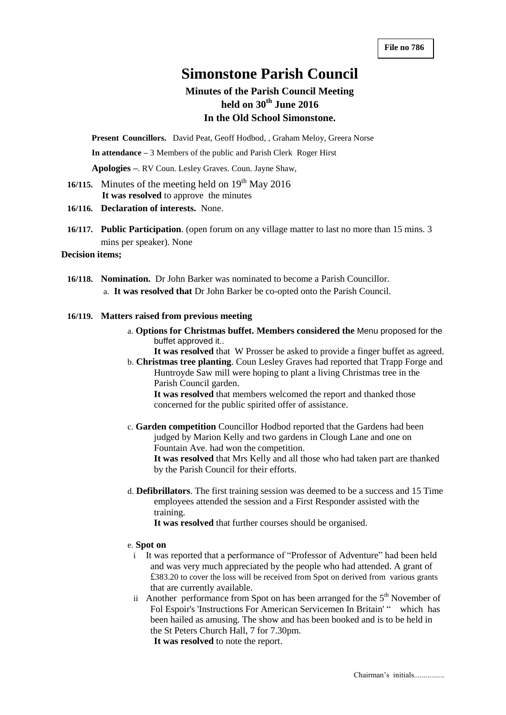# **Simonstone Parish Council**

## **Minutes of the Parish Council Meeting held on 30th June 2016 In the Old School Simonstone.**

**Present Councillors.** David Peat, Geoff Hodbod, , Graham Meloy, Greera Norse

**In attendance –** 3 Members of the public and Parish Clerk Roger Hirst

**Apologies –**. RV Coun. Lesley Graves. Coun. Jayne Shaw,

- **16/115.** Minutes of the meeting held on  $19<sup>th</sup>$  May 2016  **It was resolved** to approve the minutes
- **16/116. Declaration of interests.** None.
- **16/117. Public Participation**. (open forum on any village matter to last no more than 15 mins. 3 mins per speaker). None

### **Decision items;**

**16/118. Nomination.** Dr John Barker was nominated to become a Parish Councillor. a. **It was resolved that** Dr John Barker be co-opted onto the Parish Council.

#### **16/119. Matters raised from previous meeting**

a. **Options for Christmas buffet. Members considered the** Menu proposed for the buffet approved it..

**It was resolved** that W Prosser be asked to provide a finger buffet as agreed.

b. **Christmas tree planting**. Coun Lesley Graves had reported that Trapp Forge and Huntroyde Saw mill were hoping to plant a living Christmas tree in the Parish Council garden.

**It was resolved** that members welcomed the report and thanked those concerned for the public spirited offer of assistance.

c. **Garden competition** Councillor Hodbod reported that the Gardens had been judged by Marion Kelly and two gardens in Clough Lane and one on Fountain Ave. had won the competition.

**It was resolved** that Mrs Kelly and all those who had taken part are thanked by the Parish Council for their efforts.

d. **Defibrillators**. The first training session was deemed to be a success and 15 Time employees attended the session and a First Responder assisted with the training.

**It was resolved** that further courses should be organised.

#### e. **Spot on**

- i It was reported that a performance of "Professor of Adventure" had been held and was very much appreciated by the people who had attended. A grant of £383.20 to cover the loss will be received from Spot on derived from various grants that are currently available.
- ii Another performance from Spot on has been arranged for the  $5<sup>th</sup>$  November of Fol Espoir's 'Instructions For American Servicemen In Britain' " which has been hailed as amusing. The show and has been booked and is to be held in the St Peters Church Hall, 7 for 7.30pm.

**It was resolved** to note the report.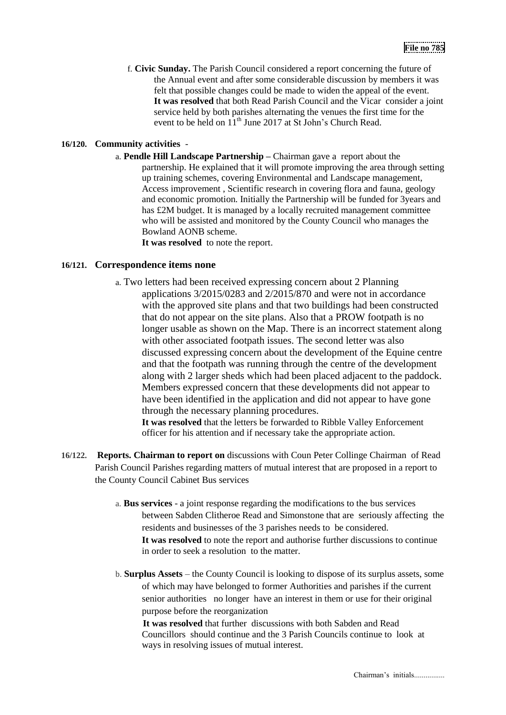f. **Civic Sunday.** The Parish Council considered a report concerning the future of the Annual event and after some considerable discussion by members it was felt that possible changes could be made to widen the appeal of the event. **It was resolved** that both Read Parish Council and the Vicar consider a joint service held by both parishes alternating the venues the first time for the event to be held on  $11^{th}$  June 2017 at St John's Church Read.

#### **16/120. Community activities** -

a. **Pendle Hill Landscape Partnership –** Chairman gave a report about the partnership. He explained that it will promote improving the area through setting up training schemes, covering Environmental and Landscape management, Access improvement , Scientific research in covering flora and fauna, geology and economic promotion. Initially the Partnership will be funded for 3years and has £2M budget. It is managed by a locally recruited management committee who will be assisted and monitored by the County Council who manages the Bowland AONB scheme.

**It was resolved** to note the report.

## **16/121. Correspondence items none**

a. Two letters had been received expressing concern about 2 Planning applications 3/2015/0283 and 2/2015/870 and were not in accordance with the approved site plans and that two buildings had been constructed that do not appear on the site plans. Also that a PROW footpath is no longer usable as shown on the Map. There is an incorrect statement along with other associated footpath issues. The second letter was also discussed expressing concern about the development of the Equine centre and that the footpath was running through the centre of the development along with 2 larger sheds which had been placed adjacent to the paddock. Members expressed concern that these developments did not appear to have been identified in the application and did not appear to have gone through the necessary planning procedures.

**It was resolved** that the letters be forwarded to Ribble Valley Enforcement officer for his attention and if necessary take the appropriate action.

- **16/122. Reports. Chairman to report on** discussions with Coun Peter Collinge Chairman of Read Parish Council Parishes regarding matters of mutual interest that are proposed in a report to the County Council Cabinet Bus services
	- a. **Bus services**  a joint response regarding the modifications to the bus services between Sabden Clitheroe Read and Simonstone that are seriously affecting the residents and businesses of the 3 parishes needs to be considered. **It was resolved** to note the report and authorise further discussions to continue in order to seek a resolution to the matter.
	- b. **Surplus Assets**  the County Council is looking to dispose of its surplus assets, some of which may have belonged to former Authorities and parishes if the current senior authorities no longer have an interest in them or use for their original purpose before the reorganization

**It was resolved** that further discussions with both Sabden and Read Councillors should continue and the 3 Parish Councils continue to look at ways in resolving issues of mutual interest.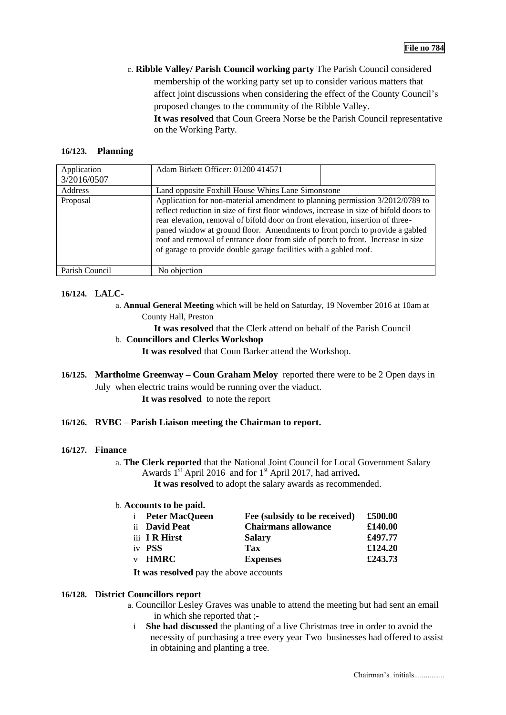c. **Ribble Valley/ Parish Council working party** The Parish Council considered membership of the working party set up to consider various matters that affect joint discussions when considering the effect of the County Council's proposed changes to the community of the Ribble Valley.

**It was resolved** that Coun Greera Norse be the Parish Council representative on the Working Party.

#### **16/123. Planning**

| Application    | Adam Birkett Officer: 01200 414571                                                                                                                                                                                                                                                                                                                                                                                                                                                             |  |  |
|----------------|------------------------------------------------------------------------------------------------------------------------------------------------------------------------------------------------------------------------------------------------------------------------------------------------------------------------------------------------------------------------------------------------------------------------------------------------------------------------------------------------|--|--|
| 3/2016/0507    |                                                                                                                                                                                                                                                                                                                                                                                                                                                                                                |  |  |
| Address        | Land opposite Foxhill House Whins Lane Simonstone                                                                                                                                                                                                                                                                                                                                                                                                                                              |  |  |
| Proposal       | Application for non-material amendment to planning permission 3/2012/0789 to<br>reflect reduction in size of first floor windows, increase in size of bifold doors to<br>rear elevation, removal of bifold door on front elevation, insertion of three-<br>paned window at ground floor. Amendments to front porch to provide a gabled<br>roof and removal of entrance door from side of porch to front. Increase in size<br>of garage to provide double garage facilities with a gabled roof. |  |  |
| Parish Council | No objection                                                                                                                                                                                                                                                                                                                                                                                                                                                                                   |  |  |

## **16/124. LALC-**

- a. **Annual General Meeting** which will be held on Saturday, 19 November 2016 at 10am at County Hall, Preston
	- **It was resolved** that the Clerk attend on behalf of the Parish Council

## b. **Councillors and Clerks Workshop**

**It was resolved** that Coun Barker attend the Workshop.

**16/125. Martholme Greenway – Coun Graham Meloy** reported there were to be 2 Open days in July when electric trains would be running over the viaduct.

**It was resolved** to note the report

### **16/126. RVBC – Parish Liaison meeting the Chairman to report.**

#### **16/127. Finance**

a. **The Clerk reported** that the National Joint Council for Local Government Salary Awards 1<sup>st</sup> April 2016 and for 1<sup>st</sup> April 2017, had arrived.

**It was resolved** to adopt the salary awards as recommended.

### b. **Accounts to be paid.**

| <i>i</i> Peter MacQueen | Fee (subsidy to be received) | £500.00 |
|-------------------------|------------------------------|---------|
| ii David Peat           | <b>Chairmans allowance</b>   | £140.00 |
| iii IR Hirst            | <b>Salary</b>                | £497.77 |
| iv <b>PSS</b>           | Tax                          | £124.20 |
| v <b>HMRC</b>           | <b>Expenses</b>              | £243.73 |

**It was resolved** pay the above accounts

#### **16/128. District Councillors report**

- a. Councillor Lesley Graves was unable to attend the meeting but had sent an email in which she reported t*h*at ;
	- i **She had discussed** the planting of a live Christmas tree in order to avoid the necessity of purchasing a tree every year Two businesses had offered to assist in obtaining and planting a tree.